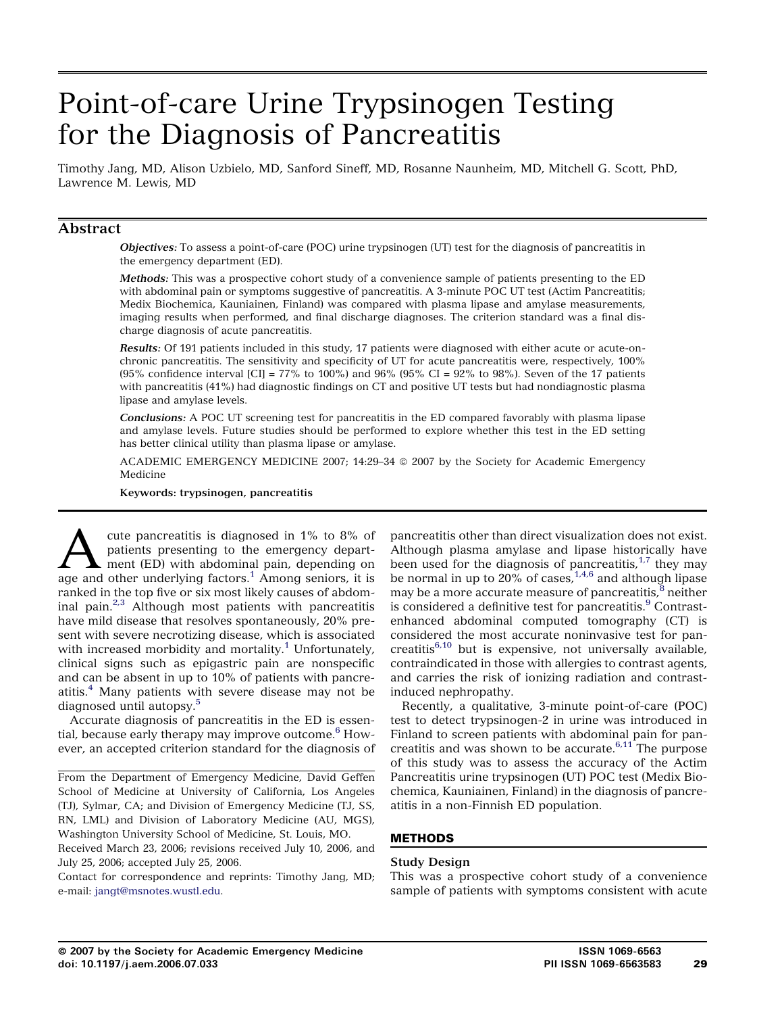# Point-of-care Urine Trypsinogen Testing for the Diagnosis of Pancreatitis

Timothy Jang, MD, Alison Uzbielo, MD, Sanford Sineff, MD, Rosanne Naunheim, MD, Mitchell G. Scott, PhD, Lawrence M. Lewis, MD

## Abstract

Objectives: To assess a point-of-care (POC) urine trypsinogen (UT) test for the diagnosis of pancreatitis in the emergency department (ED).

Methods: This was a prospective cohort study of a convenience sample of patients presenting to the ED with abdominal pain or symptoms suggestive of pancreatitis. A 3-minute POC UT test (Actim Pancreatitis; Medix Biochemica, Kauniainen, Finland) was compared with plasma lipase and amylase measurements, imaging results when performed, and final discharge diagnoses. The criterion standard was a final discharge diagnosis of acute pancreatitis.

Results: Of 191 patients included in this study, 17 patients were diagnosed with either acute or acute-onchronic pancreatitis. The sensitivity and specificity of UT for acute pancreatitis were, respectively, 100% (95% confidence interval [CI] = 77% to 100%) and 96% (95% CI = 92% to 98%). Seven of the 17 patients with pancreatitis (41%) had diagnostic findings on CT and positive UT tests but had nondiagnostic plasma lipase and amylase levels.

Conclusions: A POC UT screening test for pancreatitis in the ED compared favorably with plasma lipase and amylase levels. Future studies should be performed to explore whether this test in the ED setting has better clinical utility than plasma lipase or amylase.

ACADEMIC EMERGENCY MEDICINE 2007; 14:29-34 © 2007 by the Society for Academic Emergency Medicine

Keywords: trypsinogen, pancreatitis

cute pancreatitis is diagnosed in 1% to 8% of patients presenting to the emergency department (ED) with abdominal pain, depending on age and other underlying factors.<sup>1</sup> Among seniors, it is ranked in the top five or six most likely causes of abdominal pain. $2,3$  Although most patients with pancreatitis have mild disease that resolves spontaneously, 20% present with severe necrotizing disease, which is associated with increased morbidity and mortality.<sup>[1](#page-4-0)</sup> Unfortunately, clinical signs such as epigastric pain are nonspecific and can be absent in up to 10% of patients with pancre-atitis.<sup>[4](#page-4-0)</sup> Many patients with severe disease may not be diagnosed until autopsy.[5](#page-4-0)

Accurate diagnosis of pancreatitis in the ED is essential, because early therapy may improve outcome.<sup>6</sup> However, an accepted criterion standard for the diagnosis of

From the Department of Emergency Medicine, David Geffen School of Medicine at University of California, Los Angeles (TJ), Sylmar, CA; and Division of Emergency Medicine (TJ, SS, RN, LML) and Division of Laboratory Medicine (AU, MGS), Washington University School of Medicine, St. Louis, MO.

Received March 23, 2006; revisions received July 10, 2006, and July 25, 2006; accepted July 25, 2006.

Contact for correspondence and reprints: Timothy Jang, MD[;](mailto:jangt@msnotes.wustl.edu) e-mail: [jangt@msnotes.wustl.edu](mailto:jangt@msnotes.wustl.edu).

pancreatitis other than direct visualization does not exist. Although plasma amylase and lipase historically have been used for the diagnosis of pancreatitis, $1/7$  they may be normal in up to 20% of cases,  $^{1,4,6}$  $^{1,4,6}$  $^{1,4,6}$  and although lipase may be a more accurate measure of pancreatitis, $8$  neither is considered a definitive test for pancreatitis.<sup>[9](#page-5-0)</sup> Contrastenhanced abdominal computed tomography (CT) is considered the most accurate noninvasive test for pancreatitis $^{6,10}$  but is expensive, not universally available, contraindicated in those with allergies to contrast agents, and carries the risk of ionizing radiation and contrastinduced nephropathy.

Recently, a qualitative, 3-minute point-of-care (POC) test to detect trypsinogen-2 in urine was introduced in Finland to screen patients with abdominal pain for pancreatitis and was shown to be accurate. $6,11$  The purpose of this study was to assess the accuracy of the Actim Pancreatitis urine trypsinogen (UT) POC test (Medix Biochemica, Kauniainen, Finland) in the diagnosis of pancreatitis in a non-Finnish ED population.

#### METHODS

## Study Design

This was a prospective cohort study of a convenience sample of patients with symptoms consistent with acute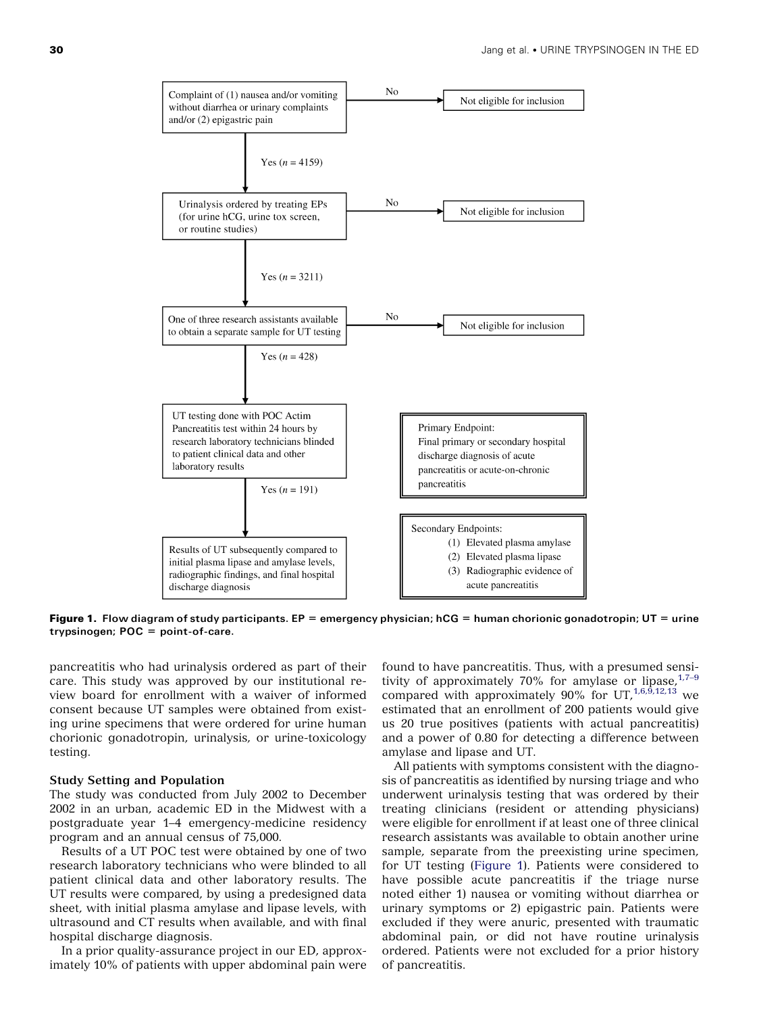<span id="page-1-0"></span>

**Figure 1.** Flow diagram of study participants.  $EP =$  emergency physician; hCG = human chorionic gonadotropin; UT = urine trypsinogen; POC = point-of-care.

pancreatitis who had urinalysis ordered as part of their care. This study was approved by our institutional review board for enrollment with a waiver of informed consent because UT samples were obtained from existing urine specimens that were ordered for urine human chorionic gonadotropin, urinalysis, or urine-toxicology testing.

## Study Setting and Population

The study was conducted from July 2002 to December 2002 in an urban, academic ED in the Midwest with a postgraduate year 1–4 emergency-medicine residency program and an annual census of 75,000.

Results of a UT POC test were obtained by one of two research laboratory technicians who were blinded to all patient clinical data and other laboratory results. The UT results were compared, by using a predesigned data sheet, with initial plasma amylase and lipase levels, with ultrasound and CT results when available, and with final hospital discharge diagnosis.

In a prior quality-assurance project in our ED, approximately 10% of patients with upper abdominal pain were found to have pancreatitis. Thus, with a presumed sensitivity of approximately 70% for amylase or lipase,  $1.7-9$ compared with approximately 90% for UT,<sup>[1,6,9,12,13](#page-4-0)</sup> we estimated that an enrollment of 200 patients would give us 20 true positives (patients with actual pancreatitis) and a power of 0.80 for detecting a difference between amylase and lipase and UT.

All patients with symptoms consistent with the diagnosis of pancreatitis as identified by nursing triage and who underwent urinalysis testing that was ordered by their treating clinicians (resident or attending physicians) were eligible for enrollment if at least one of three clinical research assistants was available to obtain another urine sample, separate from the preexisting urine specimen, for UT testing (Figure 1). Patients were considered to have possible acute pancreatitis if the triage nurse noted either 1) nausea or vomiting without diarrhea or urinary symptoms or 2) epigastric pain. Patients were excluded if they were anuric, presented with traumatic abdominal pain, or did not have routine urinalysis ordered. Patients were not excluded for a prior history of pancreatitis.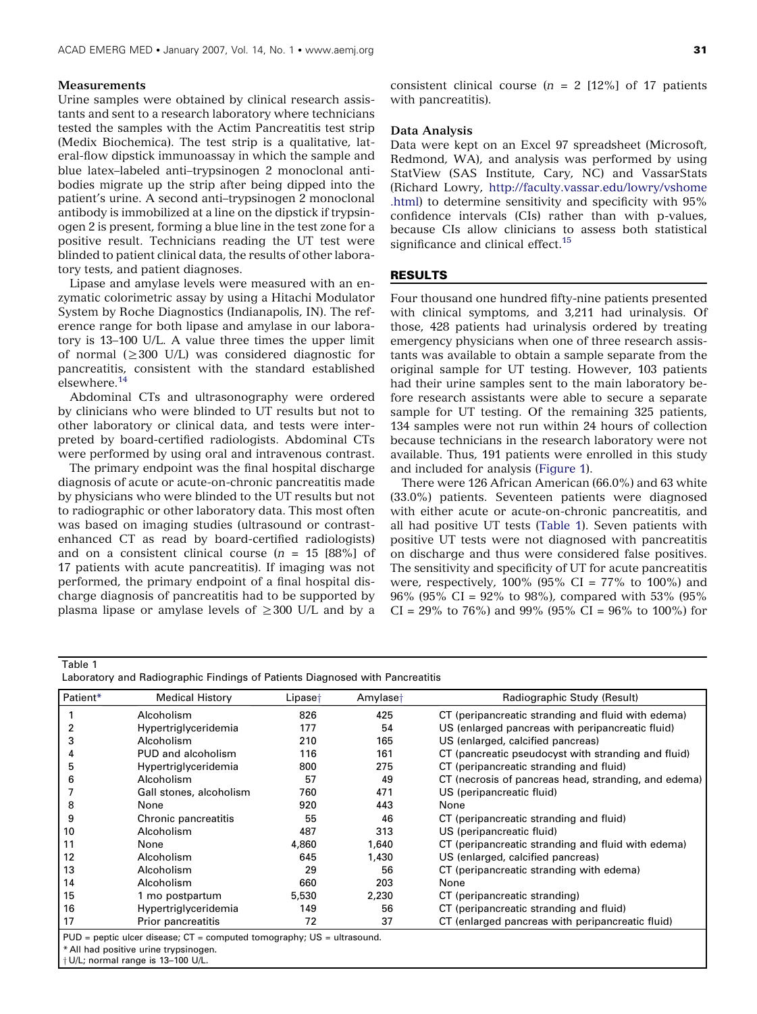## <span id="page-2-0"></span>**Measurements**

Urine samples were obtained by clinical research assistants and sent to a research laboratory where technicians tested the samples with the Actim Pancreatitis test strip (Medix Biochemica). The test strip is a qualitative, lateral-flow dipstick immunoassay in which the sample and blue latex–labeled anti–trypsinogen 2 monoclonal antibodies migrate up the strip after being dipped into the patient's urine. A second anti–trypsinogen 2 monoclonal antibody is immobilized at a line on the dipstick if trypsinogen 2 is present, forming a blue line in the test zone for a positive result. Technicians reading the UT test were blinded to patient clinical data, the results of other laboratory tests, and patient diagnoses.

Lipase and amylase levels were measured with an enzymatic colorimetric assay by using a Hitachi Modulator System by Roche Diagnostics (Indianapolis, IN). The reference range for both lipase and amylase in our laboratory is 13–100 U/L. A value three times the upper limit of normal  $(>300 \text{ U/L})$  was considered diagnostic for pancreatitis, consistent with the standard established elsewhere.[14](#page-5-0)

Abdominal CTs and ultrasonography were ordered by clinicians who were blinded to UT results but not to other laboratory or clinical data, and tests were interpreted by board-certified radiologists. Abdominal CTs were performed by using oral and intravenous contrast.

The primary endpoint was the final hospital discharge diagnosis of acute or acute-on-chronic pancreatitis made by physicians who were blinded to the UT results but not to radiographic or other laboratory data. This most often was based on imaging studies (ultrasound or contrastenhanced CT as read by board-certified radiologists) and on a consistent clinical course  $(n = 15 [88\%]$  of 17 patients with acute pancreatitis). If imaging was not performed, the primary endpoint of a final hospital discharge diagnosis of pancreatitis had to be supported by plasma lipase or amylase levels of  $\geq$ 300 U/L and by a consistent clinical course ( $n = 2$  [12%] of 17 patients with pancreatitis).

#### Data Analysis

Data were kept on an Excel 97 spreadsheet (Microsoft, Redmond, WA), and analysis was performed by using StatView (SAS Institute, Cary, NC) and VassarStats (Richard Lowry, [http://faculty.vassar.edu/lowry/vshome](http://faculty.vassar.edu/lowry/vshome.html) [.html](http://faculty.vassar.edu/lowry/vshome.html)) to determine sensitivity and specificity with 95% confidence intervals (CIs) rather than with p-values, because CIs allow clinicians to assess both statistical significance and clinical effect.<sup>[15](#page-5-0)</sup>

#### RESULTS

Four thousand one hundred fifty-nine patients presented with clinical symptoms, and 3,211 had urinalysis. Of those, 428 patients had urinalysis ordered by treating emergency physicians when one of three research assistants was available to obtain a sample separate from the original sample for UT testing. However, 103 patients had their urine samples sent to the main laboratory before research assistants were able to secure a separate sample for UT testing. Of the remaining 325 patients, 134 samples were not run within 24 hours of collection because technicians in the research laboratory were not available. Thus, 191 patients were enrolled in this study and included for analysis ([Figure 1](#page-1-0)).

There were 126 African American (66.0%) and 63 white (33.0%) patients. Seventeen patients were diagnosed with either acute or acute-on-chronic pancreatitis, and all had positive UT tests (Table 1). Seven patients with positive UT tests were not diagnosed with pancreatitis on discharge and thus were considered false positives. The sensitivity and specificity of UT for acute pancreatitis were, respectively,  $100\%$  (95% CI = 77% to 100%) and 96% (95% CI = 92% to 98%), compared with 53% (95%  $CI = 29\%$  to 76%) and 99% (95%  $CI = 96\%$  to 100%) for

Table 1

| Laboratory and Radiographic Findings of Patients Diagnosed with Pancreatitis |  |  |  |  |  |  |
|------------------------------------------------------------------------------|--|--|--|--|--|--|
|------------------------------------------------------------------------------|--|--|--|--|--|--|

| Patient* | <b>Medical History</b>                                                                                                | Lipase† | Amylase <sup>+</sup> | Radiographic Study (Result)                          |
|----------|-----------------------------------------------------------------------------------------------------------------------|---------|----------------------|------------------------------------------------------|
|          | Alcoholism                                                                                                            | 826     | 425                  | CT (peripancreatic stranding and fluid with edema)   |
| 2        | Hypertriglyceridemia                                                                                                  | 177     | 54                   | US (enlarged pancreas with peripancreatic fluid)     |
| 3        | Alcoholism                                                                                                            | 210     | 165                  | US (enlarged, calcified pancreas)                    |
| 4        | PUD and alcoholism                                                                                                    | 116     | 161                  | CT (pancreatic pseudocyst with stranding and fluid)  |
| 5        | Hypertriglyceridemia                                                                                                  | 800     | 275                  | CT (peripancreatic stranding and fluid)              |
| 6        | Alcoholism                                                                                                            | 57      | 49                   | CT (necrosis of pancreas head, stranding, and edema) |
|          | Gall stones, alcoholism                                                                                               | 760     | 471                  | US (peripancreatic fluid)                            |
| 8        | None                                                                                                                  | 920     | 443                  | None                                                 |
| 9        | Chronic pancreatitis                                                                                                  | 55      | 46                   | CT (peripancreatic stranding and fluid)              |
| 10       | Alcoholism                                                                                                            | 487     | 313                  | US (peripancreatic fluid)                            |
| 11       | None                                                                                                                  | 4,860   | 1,640                | CT (peripancreatic stranding and fluid with edema)   |
| 12       | Alcoholism                                                                                                            | 645     | 1,430                | US (enlarged, calcified pancreas)                    |
| 13       | Alcoholism                                                                                                            | 29      | 56                   | CT (peripancreatic stranding with edema)             |
| 14       | Alcoholism                                                                                                            | 660     | 203                  | None                                                 |
| 15       | 1 mo postpartum                                                                                                       | 5,530   | 2,230                | CT (peripancreatic stranding)                        |
| 16       | Hypertriglyceridemia                                                                                                  | 149     | 56                   | CT (peripancreatic stranding and fluid)              |
| 17       | Prior pancreatitis                                                                                                    | 72      | 37                   | CT (enlarged pancreas with peripancreatic fluid)     |
|          | $PUD =$ peptic ulcer disease; $CT =$ computed tomography; $US =$ ultrasound.<br>* All had positive urine trypsinogen. |         |                      |                                                      |

y U/L; normal range is 13–100 U/L.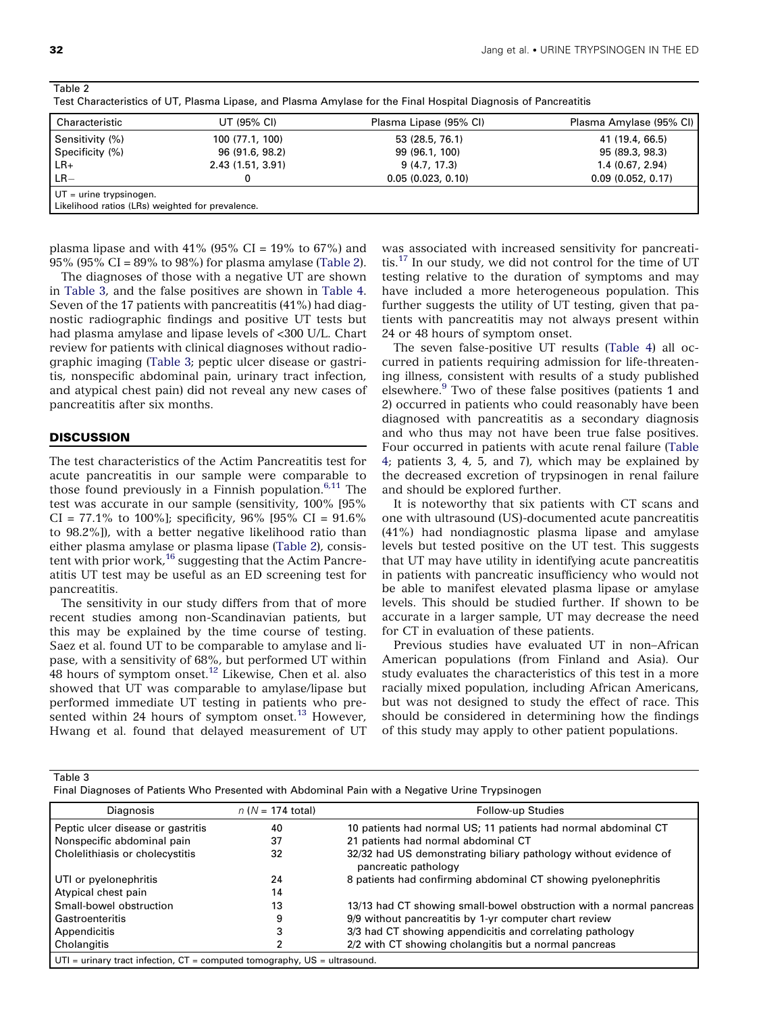| Characteristic                                   | UT (95% CI)      | Plasma Lipase (95% CI) | Plasma Amylase (95% CI) |
|--------------------------------------------------|------------------|------------------------|-------------------------|
| Sensitivity (%)                                  | 100 (77.1, 100)  | 53 (28.5, 76.1)        | 41 (19.4, 66.5)         |
| Specificity (%)                                  | 96 (91.6, 98.2)  | 99 (96.1, 100)         | 95 (89.3, 98.3)         |
| $LR+$                                            | 2.43(1.51, 3.91) | 9(4.7, 17.3)           | 1.4(0.67, 2.94)         |
| $LR-$                                            |                  | 0.05(0.023, 0.10)      | 0.09(0.052, 0.17)       |
| $UT =$ urine trypsinogen.                        |                  |                        |                         |
| Likelihood ratios (LRs) weighted for prevalence. |                  |                        |                         |

plasma lipase and with 41% (95% CI =  $19\%$  to 67%) and 95% (95% CI = 89% to 98%) for plasma amylase (Table 2).

The diagnoses of those with a negative UT are shown in Table 3, and the false positives are shown in [Table 4.](#page-4-0) Seven of the 17 patients with pancreatitis (41%) had diagnostic radiographic findings and positive UT tests but had plasma amylase and lipase levels of <300 U/L. Chart review for patients with clinical diagnoses without radiographic imaging (Table 3; peptic ulcer disease or gastritis, nonspecific abdominal pain, urinary tract infection, and atypical chest pain) did not reveal any new cases of pancreatitis after six months.

#### **DISCUSSION**

The test characteristics of the Actim Pancreatitis test for acute pancreatitis in our sample were comparable to those found previously in a Finnish population. $6,11$  The test was accurate in our sample (sensitivity, 100% [95%  $CI = 77.1\%$  to 100%]; specificity, 96% [95% CI = 91.6%] to 98.2%]), with a better negative likelihood ratio than either plasma amylase or plasma lipase (Table 2), consis-tent with prior work,<sup>[16](#page-5-0)</sup> suggesting that the Actim Pancreatitis UT test may be useful as an ED screening test for pancreatitis.

The sensitivity in our study differs from that of more recent studies among non-Scandinavian patients, but this may be explained by the time course of testing. Saez et al. found UT to be comparable to amylase and lipase, with a sensitivity of 68%, but performed UT within 48 hours of symptom onset.<sup>12</sup> Likewise, Chen et al. also showed that UT was comparable to amylase/lipase but performed immediate UT testing in patients who pre-sented within 24 hours of symptom onset.<sup>[13](#page-5-0)</sup> However, Hwang et al. found that delayed measurement of UT was associated with increased sensitivity for pancreatitis.[17](#page-5-0) In our study, we did not control for the time of UT testing relative to the duration of symptoms and may have included a more heterogeneous population. This further suggests the utility of UT testing, given that patients with pancreatitis may not always present within 24 or 48 hours of symptom onset.

The seven false-positive UT results ([Table 4](#page-4-0)) all occurred in patients requiring admission for life-threatening illness, consistent with results of a study published elsewhere.[9](#page-5-0) Two of these false positives (patients 1 and 2) occurred in patients who could reasonably have been diagnosed with pancreatitis as a secondary diagnosis and who thus may not have been true false positives. Four occurred in patients with acute renal failure ([Table](#page-4-0) [4](#page-4-0); patients 3, 4, 5, and 7), which may be explained by the decreased excretion of trypsinogen in renal failure and should be explored further.

It is noteworthy that six patients with CT scans and one with ultrasound (US)-documented acute pancreatitis (41%) had nondiagnostic plasma lipase and amylase levels but tested positive on the UT test. This suggests that UT may have utility in identifying acute pancreatitis in patients with pancreatic insufficiency who would not be able to manifest elevated plasma lipase or amylase levels. This should be studied further. If shown to be accurate in a larger sample, UT may decrease the need for CT in evaluation of these patients.

Previous studies have evaluated UT in non–African American populations (from Finland and Asia). Our study evaluates the characteristics of this test in a more racially mixed population, including African Americans, but was not designed to study the effect of race. This should be considered in determining how the findings of this study may apply to other patient populations.

Table 3

Final Diagnoses of Patients Who Presented with Abdominal Pain with a Negative Urine Trypsinogen

| Diagnosis                                                                       | $n (N = 174$ total) | Follow-up Studies                                                                        |  |
|---------------------------------------------------------------------------------|---------------------|------------------------------------------------------------------------------------------|--|
| Peptic ulcer disease or gastritis                                               | 40                  | 10 patients had normal US; 11 patients had normal abdominal CT                           |  |
| Nonspecific abdominal pain                                                      | 37                  | 21 patients had normal abdominal CT                                                      |  |
| Cholelithiasis or cholecystitis                                                 | 32                  | 32/32 had US demonstrating biliary pathology without evidence of<br>pancreatic pathology |  |
| UTI or pyelonephritis                                                           | 24                  | 8 patients had confirming abdominal CT showing pyelonephritis                            |  |
| Atypical chest pain                                                             | 14                  |                                                                                          |  |
| Small-bowel obstruction                                                         | 13                  | 13/13 had CT showing small-bowel obstruction with a normal pancreas                      |  |
| Gastroenteritis                                                                 | 9                   | 9/9 without pancreatitis by 1-yr computer chart review                                   |  |
| Appendicitis                                                                    |                     | 3/3 had CT showing appendicitis and correlating pathology                                |  |
| Cholangitis                                                                     |                     | 2/2 with CT showing cholangitis but a normal pancreas                                    |  |
| $UTI$ = urinary tract infection, $CT$ = computed tomography, $US$ = ultrasound. |                     |                                                                                          |  |

Table 2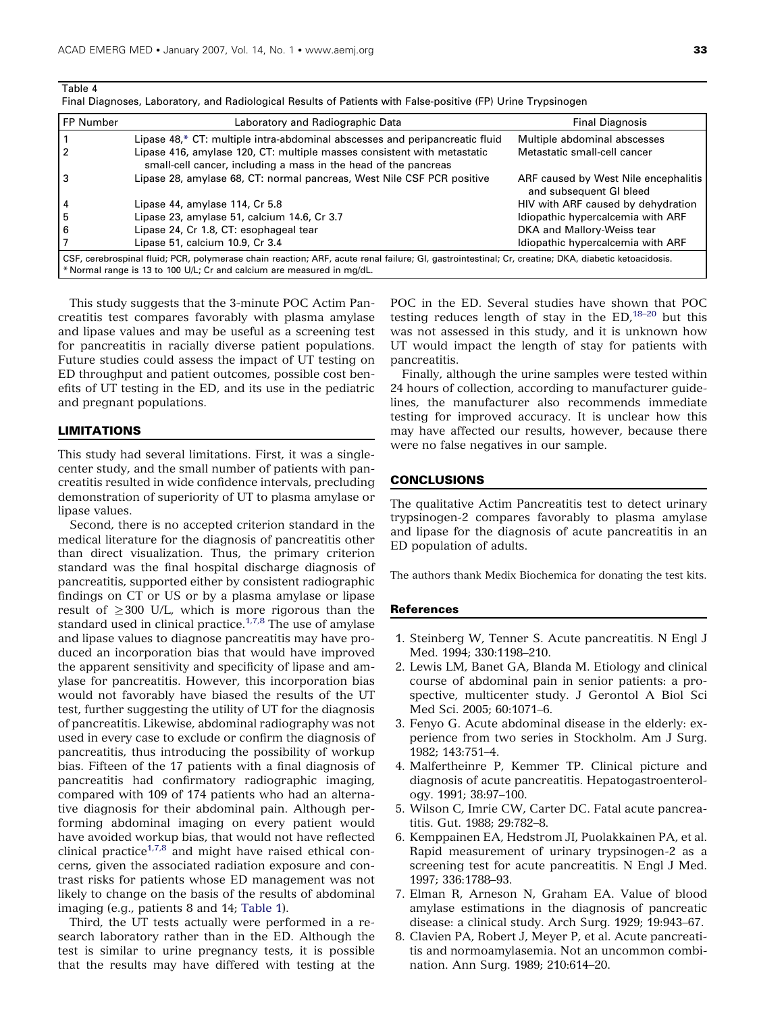<span id="page-4-0"></span>

|  | . . | ш |  |
|--|-----|---|--|
|--|-----|---|--|

|  |  | Final Diagnoses, Laboratory, and Radiological Results of Patients with False-positive (FP) Urine Trypsinogen |  |
|--|--|--------------------------------------------------------------------------------------------------------------|--|
|--|--|--------------------------------------------------------------------------------------------------------------|--|

| FP Number                                                                                                                                                                                                                     | Laboratory and Radiographic Data                                                                                                           | <b>Final Diagnosis</b>                                          |  |  |
|-------------------------------------------------------------------------------------------------------------------------------------------------------------------------------------------------------------------------------|--------------------------------------------------------------------------------------------------------------------------------------------|-----------------------------------------------------------------|--|--|
|                                                                                                                                                                                                                               | Lipase 48,* CT: multiple intra-abdominal abscesses and peripancreatic fluid                                                                | Multiple abdominal abscesses                                    |  |  |
|                                                                                                                                                                                                                               | Lipase 416, amylase 120, CT: multiple masses consistent with metastatic<br>small-cell cancer, including a mass in the head of the pancreas | Metastatic small-cell cancer                                    |  |  |
|                                                                                                                                                                                                                               | Lipase 28, amylase 68, CT: normal pancreas, West Nile CSF PCR positive                                                                     | ARF caused by West Nile encephalitis<br>and subsequent GI bleed |  |  |
| 4                                                                                                                                                                                                                             | Lipase 44, amylase 114, Cr 5.8                                                                                                             | HIV with ARF caused by dehydration                              |  |  |
| 5                                                                                                                                                                                                                             | Lipase 23, amylase 51, calcium 14.6, Cr 3.7                                                                                                | Idiopathic hypercalcemia with ARF                               |  |  |
| 6                                                                                                                                                                                                                             | Lipase 24, Cr 1.8, CT: esophageal tear                                                                                                     | DKA and Mallory-Weiss tear                                      |  |  |
|                                                                                                                                                                                                                               | Lipase 51, calcium 10.9, Cr 3.4                                                                                                            | Idiopathic hypercalcemia with ARF                               |  |  |
| CSF, cerebrospinal fluid; PCR, polymerase chain reaction; ARF, acute renal failure; GI, gastrointestinal; Cr, creatine; DKA, diabetic ketoacidosis.<br>* Normal range is 13 to 100 U/L; Cr and calcium are measured in mg/dL. |                                                                                                                                            |                                                                 |  |  |

This study suggests that the 3-minute POC Actim Pancreatitis test compares favorably with plasma amylase and lipase values and may be useful as a screening test for pancreatitis in racially diverse patient populations. Future studies could assess the impact of UT testing on ED throughput and patient outcomes, possible cost benefits of UT testing in the ED, and its use in the pediatric and pregnant populations.

### LIMITATIONS

This study had several limitations. First, it was a singlecenter study, and the small number of patients with pancreatitis resulted in wide confidence intervals, precluding demonstration of superiority of UT to plasma amylase or lipase values.

Second, there is no accepted criterion standard in the medical literature for the diagnosis of pancreatitis other than direct visualization. Thus, the primary criterion standard was the final hospital discharge diagnosis of pancreatitis, supported either by consistent radiographic findings on CT or US or by a plasma amylase or lipase result of  $\geq$ 300 U/L, which is more rigorous than the standard used in clinical practice.<sup>1,7,8</sup> The use of amylase and lipase values to diagnose pancreatitis may have produced an incorporation bias that would have improved the apparent sensitivity and specificity of lipase and amylase for pancreatitis. However, this incorporation bias would not favorably have biased the results of the UT test, further suggesting the utility of UT for the diagnosis of pancreatitis. Likewise, abdominal radiography was not used in every case to exclude or confirm the diagnosis of pancreatitis, thus introducing the possibility of workup bias. Fifteen of the 17 patients with a final diagnosis of pancreatitis had confirmatory radiographic imaging, compared with 109 of 174 patients who had an alternative diagnosis for their abdominal pain. Although performing abdominal imaging on every patient would have avoided workup bias, that would not have reflected clinical practice<sup>1,7,8</sup> and might have raised ethical concerns, given the associated radiation exposure and contrast risks for patients whose ED management was not likely to change on the basis of the results of abdominal imaging (e.g., patients 8 and 14; [Table 1](#page-2-0)).

Third, the UT tests actually were performed in a research laboratory rather than in the ED. Although the test is similar to urine pregnancy tests, it is possible that the results may have differed with testing at the

POC in the ED. Several studies have shown that POC testing reduces length of stay in the  $ED.^{18-20}$  but this was not assessed in this study, and it is unknown how UT would impact the length of stay for patients with pancreatitis.

Finally, although the urine samples were tested within 24 hours of collection, according to manufacturer guidelines, the manufacturer also recommends immediate testing for improved accuracy. It is unclear how this may have affected our results, however, because there were no false negatives in our sample.

#### CONCLUSIONS

The qualitative Actim Pancreatitis test to detect urinary trypsinogen-2 compares favorably to plasma amylase and lipase for the diagnosis of acute pancreatitis in an ED population of adults.

The authors thank Medix Biochemica for donating the test kits.

## References

- 1. Steinberg W, Tenner S. Acute pancreatitis. N Engl J Med. 1994; 330:1198–210.
- 2. Lewis LM, Banet GA, Blanda M. Etiology and clinical course of abdominal pain in senior patients: a prospective, multicenter study. J Gerontol A Biol Sci Med Sci. 2005; 60:1071–6.
- 3. Fenyo G. Acute abdominal disease in the elderly: experience from two series in Stockholm. Am J Surg. 1982; 143:751–4.
- 4. Malfertheinre P, Kemmer TP. Clinical picture and diagnosis of acute pancreatitis. Hepatogastroenterology. 1991; 38:97–100.
- 5. Wilson C, Imrie CW, Carter DC. Fatal acute pancreatitis. Gut. 1988; 29:782–8.
- 6. Kemppainen EA, Hedstrom JI, Puolakkainen PA, et al. Rapid measurement of urinary trypsinogen-2 as a screening test for acute pancreatitis. N Engl J Med. 1997; 336:1788–93.
- 7. Elman R, Arneson N, Graham EA. Value of blood amylase estimations in the diagnosis of pancreatic disease: a clinical study. Arch Surg. 1929; 19:943–67.
- 8. Clavien PA, Robert J, Meyer P, et al. Acute pancreatitis and normoamylasemia. Not an uncommon combination. Ann Surg. 1989; 210:614–20.